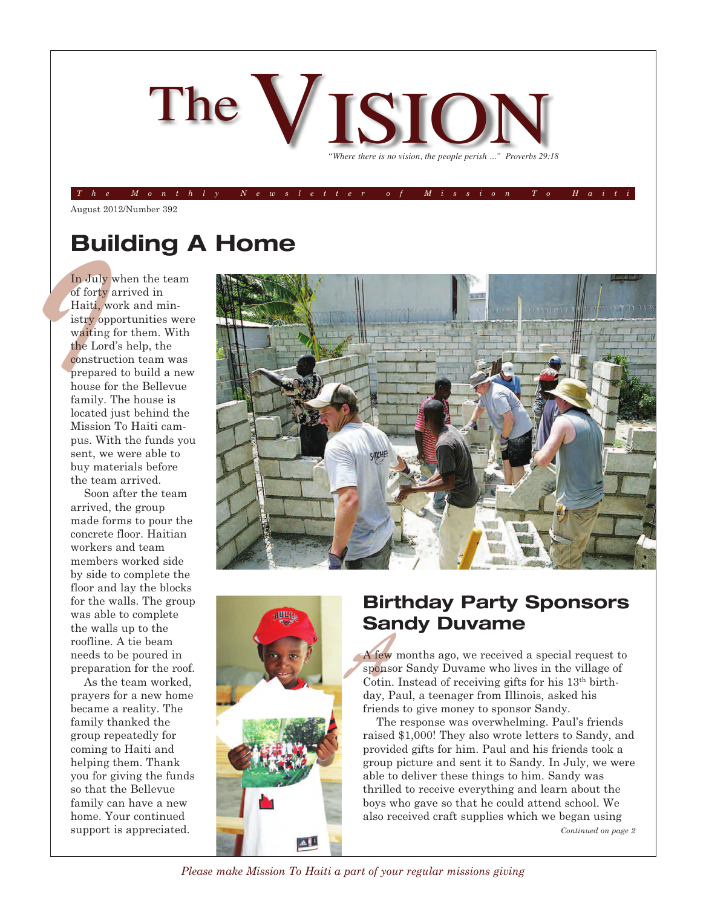

The Monthly Newsletter of Mission To Hait

August 2012/Number 392

### **Building A Home**

In July<br>of forty<br>Haiti, w<br>istry op<br>waiting<br>the Lord<br>construction prepare<br>house for<br>family.<br>located In July when the team of forty arrived in Haiti, work and ministry opportunities were waiting for them. With the Lord's help, the construction team was prepared to build a new house for the Bellevue family. The house is located just behind the Mission To Haiti campus. With the funds you sent, we were able to buy materials before the team arrived.

> Soon after the team arrived, the group made forms to pour the concrete floor. Haitian workers and team members worked side by side to complete the floor and lay the blocks for the walls. The group was able to complete the walls up to the roofline. A tie beam needs to be poured in preparation for the roof.

> As the team worked, prayers for a new home became a reality. The family thanked the group repeatedly for coming to Haiti and helping them. Thank you for giving the funds so that the Bellevue family can have a new home. Your continued support is appreciated.





### **Birthday Party Sponsors Sandy Duvame**

*A* few months ago, we received a special request the sponsor Sandy Duvame who lives in the village of Cotin. Instead of receiving gifts for his 13<sup>th</sup> birth-A few months ago, we received a special request to sponsor Sandy Duvame who lives in the village of day, Paul, a teenager from Illinois, asked his friends to give money to sponsor Sandy.

The response was overwhelming. Paul's friends raised \$1,000! They also wrote letters to Sandy, and provided gifts for him. Paul and his friends took a group picture and sent it to Sandy. In July, we were able to deliver these things to him. Sandy was thrilled to receive everything and learn about the boys who gave so that he could attend school. We also received craft supplies which we began using *Continued on page 2*

*Please make Mission To Haiti a part of your regular missions giving*